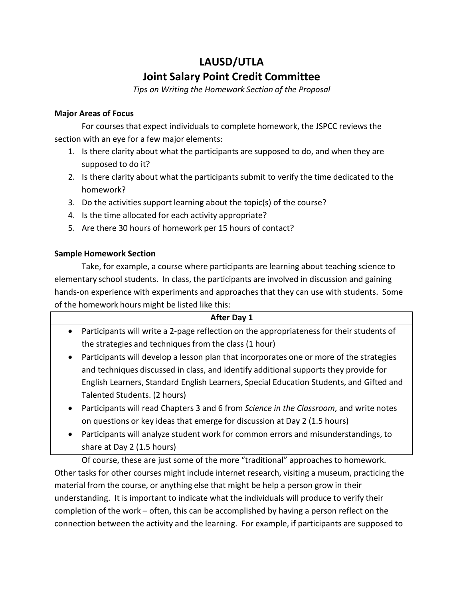## **LAUSD/UTLA Joint Salary Point Credit Committee**

*Tips on Writing the Homework Section of the Proposal*

## **Major Areas of Focus**

For courses that expect individuals to complete homework, the JSPCC reviews the section with an eye for a few major elements:

- 1. Is there clarity about what the participants are supposed to do, and when they are supposed to do it?
- 2. Is there clarity about what the participants submit to verify the time dedicated to the homework?
- 3. Do the activities support learning about the topic(s) of the course?
- 4. Is the time allocated for each activity appropriate?
- 5. Are there 30 hours of homework per 15 hours of contact?

## **Sample Homework Section**

Take, for example, a course where participants are learning about teaching science to elementary school students. In class, the participants are involved in discussion and gaining hands-on experience with experiments and approaches that they can use with students. Some of the homework hours might be listed like this:

| After Day 1                                                                                           |
|-------------------------------------------------------------------------------------------------------|
| Participants will write a 2-page reflection on the appropriateness for their students of<br>$\bullet$ |
| the strategies and techniques from the class (1 hour)                                                 |
| Participants will develop a lesson plan that incorporates one or more of the strategies<br>$\bullet$  |
| and techniques discussed in class, and identify additional supports they provide for                  |
| English Learners, Standard English Learners, Special Education Students, and Gifted and               |
| Talented Students. (2 hours)                                                                          |
| Participants will read Chapters 3 and 6 from Science in the Classroom, and write notes<br>$\bullet$   |
| on questions or key ideas that emerge for discussion at Day 2 (1.5 hours)                             |
| Participants will analyze student work for common errors and misunderstandings, to<br>$\bullet$       |

share at Day 2 (1.5 hours)

Of course, these are just some of the more "traditional" approaches to homework. Other tasks for other courses might include internet research, visiting a museum, practicing the material from the course, or anything else that might be help a person grow in their understanding. It is important to indicate what the individuals will produce to verify their completion of the work – often, this can be accomplished by having a person reflect on the connection between the activity and the learning. For example, if participants are supposed to